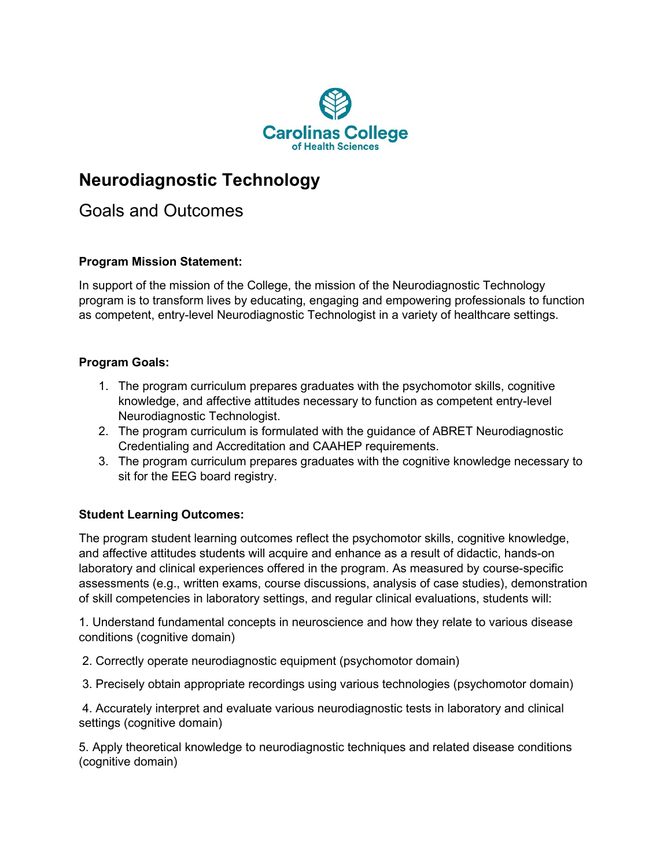

## **Neurodiagnostic Technology**

Goals and Outcomes

## **Program Mission Statement:**

In support of the mission of the College, the mission of the Neurodiagnostic Technology program is to transform lives by educating, engaging and empowering professionals to function as competent, entry-level Neurodiagnostic Technologist in a variety of healthcare settings.

## **Program Goals:**

- 1. The program curriculum prepares graduates with the psychomotor skills, cognitive knowledge, and affective attitudes necessary to function as competent entry-level Neurodiagnostic Technologist.
- 2. The program curriculum is formulated with the guidance of ABRET Neurodiagnostic Credentialing and Accreditation and CAAHEP requirements.
- 3. The program curriculum prepares graduates with the cognitive knowledge necessary to sit for the EEG board registry.

## **Student Learning Outcomes:**

The program student learning outcomes reflect the psychomotor skills, cognitive knowledge, and affective attitudes students will acquire and enhance as a result of didactic, hands-on laboratory and clinical experiences offered in the program. As measured by course-specific assessments (e.g., written exams, course discussions, analysis of case studies), demonstration of skill competencies in laboratory settings, and regular clinical evaluations, students will:

1. Understand fundamental concepts in neuroscience and how they relate to various disease conditions (cognitive domain)

2. Correctly operate neurodiagnostic equipment (psychomotor domain)

3. Precisely obtain appropriate recordings using various technologies (psychomotor domain)

4. Accurately interpret and evaluate various neurodiagnostic tests in laboratory and clinical settings (cognitive domain)

5. Apply theoretical knowledge to neurodiagnostic techniques and related disease conditions (cognitive domain)